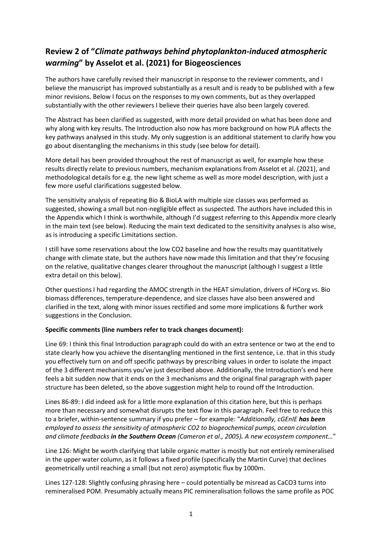## **Review 2 of "***Climate pathways behind phytoplankton-induced atmospheric warming***" by Asselot et al. (2021) for Biogeosciences**

The authors have carefully revised their manuscript in response to the reviewer comments, and I believe the manuscript has improved substantially as a result and is ready to be published with a few minor revisions. Below I focus on the responses to my own comments, but as they overlapped substantially with the other reviewers I believe their queries have also been largely covered.

The Abstract has been clarified as suggested, with more detail provided on what has been done and why along with key results. The Introduction also now has more background on how PLA affects the key pathways analysed in this study. My only suggestion is an additional statement to clarify how you go about disentangling the mechanisms in this study (see below for detail).

More detail has been provided throughout the rest of manuscript as well, for example how these results directly relate to previous numbers, mechanism explanations from Asselot et al. (2021), and methodological details for e.g. the new light scheme as well as more model description, with just a few more useful clarifications suggested below.

The sensitivity analysis of repeating Bio & BioLA with multiple size classes was performed as suggested, showing a small but non-negligible effect as suspected. The authors have included this in the Appendix which I think is worthwhile, although I'd suggest referring to this Appendix more clearly in the main text (see below). Reducing the main text dedicated to the sensitivity analyses is also wise, as is introducing a specific Limitations section.

I still have some reservations about the low CO2 baseline and how the results may quantitatively change with climate state, but the authors have now made this limitation and that they're focusing on the relative, qualitative changes clearer throughout the manuscript (although I suggest a little extra detail on this below).

Other questions I had regarding the AMOC strength in the HEAT simulation, drivers of HCorg vs. Bio biomass differences, temperature-dependence, and size classes have also been answered and clarified in the text, along with minor issues rectified and some more implications & further work suggestions in the Conclusion.

## **Specific comments (line numbers refer to track changes document):**

Line 69: I think this final Introduction paragraph could do with an extra sentence or two at the end to state clearly how you achieve the disentangling mentioned in the first sentence, i.e. that in this study you effectively turn on and off specific pathways by prescribing values in order to isolate the impact of the 3 different mechanisms you've just described above. Additionally, the Introduction's end here feels a bit sudden now that it ends on the 3 mechanisms and the original final paragraph with paper structure has been deleted, so the above suggestion might help to round off the Introduction.

Lines 86-89: I did indeed ask for a little more explanation of this citation here, but this is perhaps more than necessary and somewhat disrupts the text flow in this paragraph. Feel free to reduce this to a briefer, within-sentence summary if you prefer – for example: "*Additionally, cGEnIE has been employed to assess the sensitivity of atmospheric CO2 to biogeochemical pumps, ocean circulation and climate feedbacks in the Southern Ocean (Cameron et al., 2005). A new ecosystem component…*"

Line 126: Might be worth clarifying that labile organic matter is mostly but not entirely remineralised in the upper water column, as it follows a fixed profile (specifically the Martin Curve) that declines geometrically until reaching a small (but not zero) asymptotic flux by 1000m.

Lines 127-128: Slightly confusing phrasing here – could potentially be misread as CaCO3 turns into remineralised POM. Presumably actually means PIC remineralisation follows the same profile as POC